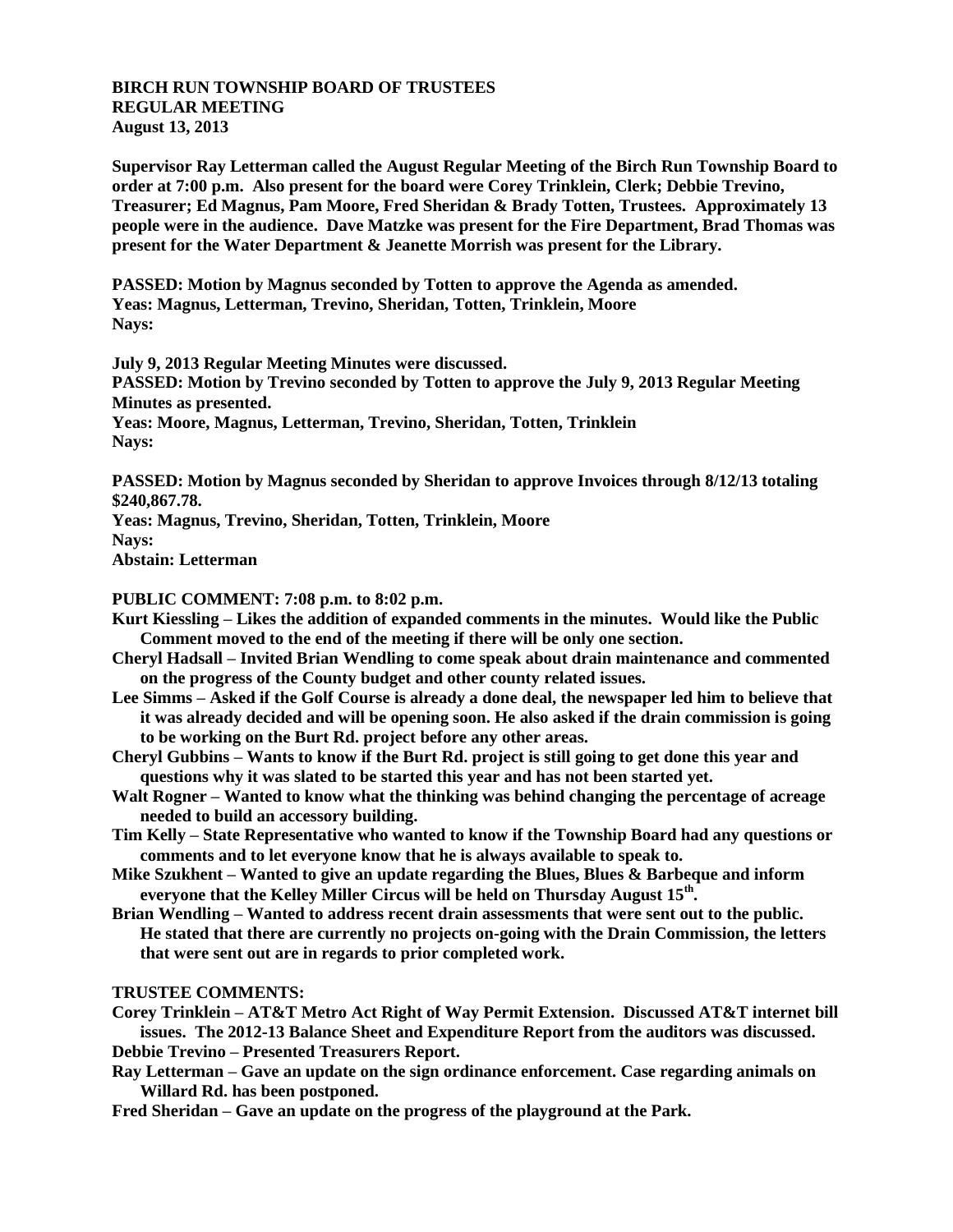## **BIRCH RUN TOWNSHIP BOARD OF TRUSTEES REGULAR MEETING August 13, 2013**

**Supervisor Ray Letterman called the August Regular Meeting of the Birch Run Township Board to order at 7:00 p.m. Also present for the board were Corey Trinklein, Clerk; Debbie Trevino, Treasurer; Ed Magnus, Pam Moore, Fred Sheridan & Brady Totten, Trustees. Approximately 13 people were in the audience. Dave Matzke was present for the Fire Department, Brad Thomas was present for the Water Department & Jeanette Morrish was present for the Library.**

**PASSED: Motion by Magnus seconded by Totten to approve the Agenda as amended. Yeas: Magnus, Letterman, Trevino, Sheridan, Totten, Trinklein, Moore Nays:**

**July 9, 2013 Regular Meeting Minutes were discussed. PASSED: Motion by Trevino seconded by Totten to approve the July 9, 2013 Regular Meeting Minutes as presented. Yeas: Moore, Magnus, Letterman, Trevino, Sheridan, Totten, Trinklein Nays:**

**PASSED: Motion by Magnus seconded by Sheridan to approve Invoices through 8/12/13 totaling \$240,867.78.**

**Yeas: Magnus, Trevino, Sheridan, Totten, Trinklein, Moore Nays:**

**Abstain: Letterman**

## **PUBLIC COMMENT: 7:08 p.m. to 8:02 p.m.**

- **Kurt Kiessling – Likes the addition of expanded comments in the minutes. Would like the Public Comment moved to the end of the meeting if there will be only one section.**
- **Cheryl Hadsall – Invited Brian Wendling to come speak about drain maintenance and commented on the progress of the County budget and other county related issues.**
- **Lee Simms – Asked if the Golf Course is already a done deal, the newspaper led him to believe that it was already decided and will be opening soon. He also asked if the drain commission is going to be working on the Burt Rd. project before any other areas.**
- **Cheryl Gubbins – Wants to know if the Burt Rd. project is still going to get done this year and questions why it was slated to be started this year and has not been started yet.**
- **Walt Rogner – Wanted to know what the thinking was behind changing the percentage of acreage needed to build an accessory building.**
- **Tim Kelly – State Representative who wanted to know if the Township Board had any questions or comments and to let everyone know that he is always available to speak to.**
- **Mike Szukhent – Wanted to give an update regarding the Blues, Blues & Barbeque and inform everyone that the Kelley Miller Circus will be held on Thursday August 15th .**
- **Brian Wendling – Wanted to address recent drain assessments that were sent out to the public. He stated that there are currently no projects on-going with the Drain Commission, the letters that were sent out are in regards to prior completed work.**

## **TRUSTEE COMMENTS:**

**Corey Trinklein – AT&T Metro Act Right of Way Permit Extension. Discussed AT&T internet bill issues. The 2012-13 Balance Sheet and Expenditure Report from the auditors was discussed. Debbie Trevino – Presented Treasurers Report.**

**Ray Letterman – Gave an update on the sign ordinance enforcement. Case regarding animals on Willard Rd. has been postponed.**

**Fred Sheridan – Gave an update on the progress of the playground at the Park.**